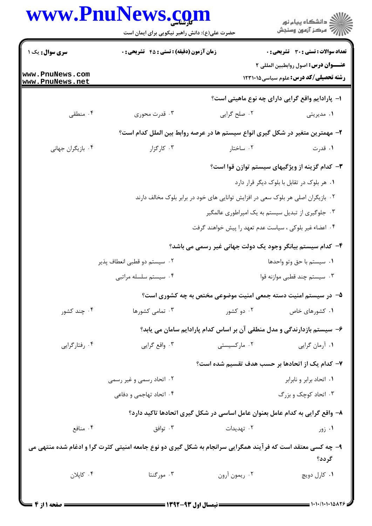| <b>زمان آزمون (دقیقه) : تستی : 45 گشریحی : 0</b><br>۰۳ قدرت محوري<br>۰۳ کارگزار | ۰۲ صلح گرايي<br>۰۲ ساختار                         | <b>تعداد سوالات : تستی : 30 ٪ تشریحی : 0</b><br>عنـــوان درس: اصول روابطبين المللي ٢<br><b>رشته تحصیلی/کد درس:</b> علوم سیاسی1۲۳۱۰۱۵<br>ا- پارادایم واقع گرایی دارای چه نوع ماهیتی است؟<br>۰۱ مدیریتی<br>۲– مهمترین متغیر در شکل گیری انواع سیستم ها در عرصه روابط بین الملل کدام است؟<br>۰۱ قدرت<br>۳- کدام گزینه از ویژگیهای سیستم توازن قوا است؟<br>۰۱ هر بلوک در تقابل با بلوک دیگر قرار دارد |  |  |
|---------------------------------------------------------------------------------|---------------------------------------------------|---------------------------------------------------------------------------------------------------------------------------------------------------------------------------------------------------------------------------------------------------------------------------------------------------------------------------------------------------------------------------------------------------|--|--|
|                                                                                 |                                                   |                                                                                                                                                                                                                                                                                                                                                                                                   |  |  |
|                                                                                 |                                                   |                                                                                                                                                                                                                                                                                                                                                                                                   |  |  |
|                                                                                 |                                                   |                                                                                                                                                                                                                                                                                                                                                                                                   |  |  |
|                                                                                 |                                                   |                                                                                                                                                                                                                                                                                                                                                                                                   |  |  |
|                                                                                 |                                                   |                                                                                                                                                                                                                                                                                                                                                                                                   |  |  |
|                                                                                 |                                                   |                                                                                                                                                                                                                                                                                                                                                                                                   |  |  |
|                                                                                 |                                                   |                                                                                                                                                                                                                                                                                                                                                                                                   |  |  |
|                                                                                 |                                                   |                                                                                                                                                                                                                                                                                                                                                                                                   |  |  |
|                                                                                 |                                                   | ۰۲ بازیگران اصلی هر بلوک سعی در افزایش توانایی های خود در برابر بلوک مخالف دارند                                                                                                                                                                                                                                                                                                                  |  |  |
|                                                                                 | ۰۳ جلوگیری از تبدیل سیستم به یک امپراطوری عالمگیر |                                                                                                                                                                                                                                                                                                                                                                                                   |  |  |
| ۰۴ اعضاء غیر بلوکی ، سیاست عدم تعهد را پیش خواهند گرفت                          |                                                   |                                                                                                                                                                                                                                                                                                                                                                                                   |  |  |
|                                                                                 |                                                   | ۴– کدام سیستم بیانگر وجود یک دولت جهانی غیر رسمی می باشد؟                                                                                                                                                                                                                                                                                                                                         |  |  |
| ۰۲ سیستم دو قطبی انعطاف پذیر                                                    |                                                   | ٠١ سيستم با حق وتو واحدها                                                                                                                                                                                                                                                                                                                                                                         |  |  |
| ۰۴ سیستم سلسله مراتبی                                                           |                                                   | ۰۳ سیستم چند قطبی موازنه قوا                                                                                                                                                                                                                                                                                                                                                                      |  |  |
|                                                                                 |                                                   |                                                                                                                                                                                                                                                                                                                                                                                                   |  |  |
| ۰۳ تمامی کشورها                                                                 | ۰۲ دو کشور                                        | ۰۱ کشورهای خاص                                                                                                                                                                                                                                                                                                                                                                                    |  |  |
|                                                                                 |                                                   |                                                                                                                                                                                                                                                                                                                                                                                                   |  |  |
| ۰۳ واقع گرايي                                                                   | ۰۲ مارکسیستی                                      | ۰۱ أرمان گرايي                                                                                                                                                                                                                                                                                                                                                                                    |  |  |
|                                                                                 |                                                   | ۷– کدام یک از اتحادها بر حسب هدف تقسیم شده است؟                                                                                                                                                                                                                                                                                                                                                   |  |  |
| ۰۲ اتحاد رسمی و غیر رسمی                                                        |                                                   | ٠١. اتحاد برابر و نابرابر                                                                                                                                                                                                                                                                                                                                                                         |  |  |
| ۰۴ اتحاد تهاجمي و دفاعي                                                         |                                                   | ۰۳ اتحاد کوچک و بزرگ                                                                                                                                                                                                                                                                                                                                                                              |  |  |
|                                                                                 |                                                   |                                                                                                                                                                                                                                                                                                                                                                                                   |  |  |
| ۰۳ توافق                                                                        | ۰۲ تهدیدات                                        | ۰۱ زور                                                                                                                                                                                                                                                                                                                                                                                            |  |  |
|                                                                                 |                                                   | گردد؟                                                                                                                                                                                                                                                                                                                                                                                             |  |  |
| ۰۳ مورگنتا                                                                      | ۰۲ ريمون آرون                                     | ۰۱ کارل دويچ                                                                                                                                                                                                                                                                                                                                                                                      |  |  |
|                                                                                 |                                                   | ۵– در سیستم امنیت دسته جمعی امنیت موضوعی مختص به چه کشوری است؟<br>۶– سیستم بازدارندگی و مدل منطقی آن بر اساس کدام پارادایم سامان می یابد؟<br>۸– واقع گرایی به کدام عامل بعنوان عامل اساسی در شکل گیری اتحادها تاکید دارد؟<br>۹- چه کسی معتقد است که فرآیند همگرایی سرانجام به شکل گیری دو نوع جامعه امنیتی کثرت گرا و ادغام شده منتهی می                                                          |  |  |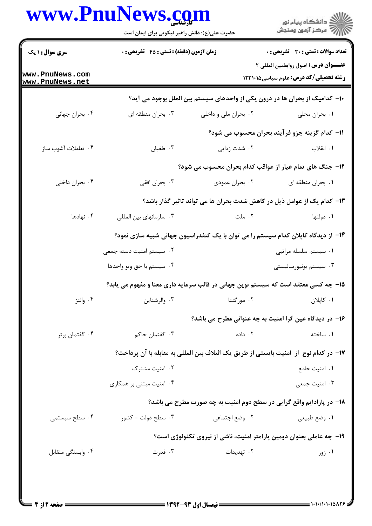|                                    | حضرت علی(ع): دانش راهبر نیکویی برای ایمان است                                          |                         | ڪ دانشڪاه پيا <sub>م</sub> نور<br><mark>ر</mark> ⊽ مرڪز آزمون وسنڊش                  |  |
|------------------------------------|----------------------------------------------------------------------------------------|-------------------------|--------------------------------------------------------------------------------------|--|
| <b>سری سوال : ۱ یک</b>             | <b>زمان آزمون (دقیقه) : تستی : 45 گتشریحی : 0</b>                                      |                         | تعداد سوالات : تستى : 30 قشريحى : 0                                                  |  |
| www.PnuNews.com<br>www.PnuNews.net |                                                                                        |                         | عنـــوان درس: اصول روابطبين المللي ٢<br><b>رشته تحصیلی/کد درس:</b> علوم سیاسی1۲۳۱۰۱۵ |  |
|                                    |                                                                                        |                         | ∙ا− کدامیک از بحران ها در درون یکی از واحدهای سیستم بین الملل بوجود می آید؟          |  |
| ۰۴ بحران جهاني                     | ۰۳ بحران منطقه ای                                                                      | ۰۲ بحران ملي و داخلي    | ۰۱ بحران محلی                                                                        |  |
|                                    |                                                                                        |                         | 11- كدام گزينه جزو فرآيند بحران محسوب مي شود؟                                        |  |
| ۰۴ تعاملات أشوب ساز                | ۰۳ طغیان                                                                               | ۰۲ شدت زدایی            | ٠١. انقلاب                                                                           |  |
|                                    |                                                                                        |                         | ۱۲- جنگ های تمام عیار از عواقب کدام بحران محسوب می شود؟                              |  |
| ۰۴ بحران داخلی                     | ۰۳ بحران افقي                                                                          | ۰۲ بحران عمودی          | ٠١. بحران منطقه اي                                                                   |  |
|                                    |                                                                                        |                         | ۱۳– کدام یک از عوامل ذیل در کاهش شدت بحران ها می تواند تاثیر گذار باشد؟              |  |
| ۰۴ نهادها                          | ۰۳ سازمانهای بین المللی                                                                | ۰۲ ملت                  | ۰۱ دولتها                                                                            |  |
|                                    |                                                                                        |                         | ۱۴– از دیدگاه کاپلان کدام سیستم را می توان با یک کنفدراسیون جهانی شبیه سازی نمود؟    |  |
|                                    | ۰۲ سیستم امنیت دسته جمعی                                                               |                         | ٠١ سيستم سلسله مراتبى                                                                |  |
|                                    | ۰۴ سیستم با حق وتو واحدها                                                              |                         | ۰۳ سیستم یونیورسالیستی                                                               |  |
|                                    |                                                                                        |                         | ۱۵– چه کسی معتقد است که سیستم نوین جهانی در قالب سرمایه داری معنا و مفهوم می یابد؟   |  |
| ۰۴ والتز                           | ۰۳ والرشتاين                                                                           | ۰۲ مورگنتا              | ٠١ كاپلان                                                                            |  |
|                                    |                                                                                        |                         | ۱۶– در دیدگاه عین گرا امنیت به چه عنوانی مطرح می باشد؟                               |  |
| ۰۴ گفتمان برتر                     | ۰۳ گفتمان حاكم                                                                         | ۰۲ داده                 | ۰۱ ساخته                                                                             |  |
|                                    | IY− در كدام نوع  از  امنيت بايستي از طريق يک ائتلاف بين المللي به مقابله با آن پرداخت؟ |                         |                                                                                      |  |
|                                    | ۰۲ امنیت مشترک                                                                         |                         | ٠١. امنيت جامع                                                                       |  |
|                                    | ۰۴ امنیت مبتنی بر همکاری                                                               |                         | ۰۳ امنیت جمعی                                                                        |  |
|                                    |                                                                                        |                         | <b>۱۸</b> - در پارادایم واقع گرایی در سطح دوم امنیت به چه صورت مطرح می باشد؟         |  |
| ۰۴ سطح سیستمی                      | ۰۳ سطح دولت - کشور                                                                     | ۰۲ وضع اجتما <i>ع</i> ی | ٠١ وضع طبيعي                                                                         |  |
|                                    |                                                                                        |                         | ۱۹- چه عاملی بعنوان دومین پارامتر امنیت، ناشی از نیروی تکنولوژی است؟                 |  |
| ۰۴ وابستگی متقابل                  | ۰۳ قدرت                                                                                | ۰۲ تهدیدات              | ۰۱ زور                                                                               |  |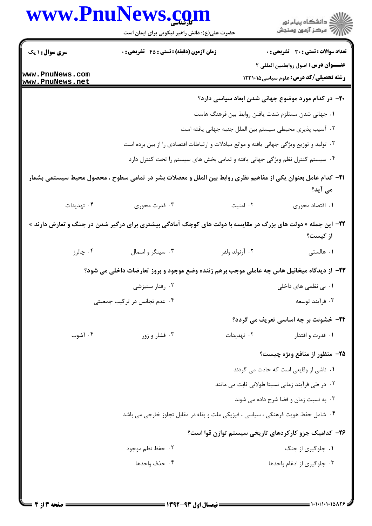|                                    | www.PnuNews.com                                                                                                      |                                                                              | الاد دانشگاه پيام نور<br>الاسم مرکز آزمون وسنجش                                      |
|------------------------------------|----------------------------------------------------------------------------------------------------------------------|------------------------------------------------------------------------------|--------------------------------------------------------------------------------------|
| <b>سری سوال : ۱ یک</b>             | حضرت علی(ع): دانش راهبر نیکویی برای ایمان است<br><b>زمان آزمون (دقیقه) : تستی : 45 گتشریحی : 0</b>                   |                                                                              | <b>تعداد سوالات : تستی : 30 ٪ تشریحی : 0</b>                                         |
| www.PnuNews.com<br>www.PnuNews.net |                                                                                                                      |                                                                              | عنـــوان درس: اصول روابطبين المللي ٢<br><b>رشته تحصیلی/کد درس:</b> علوم سیاسی1۲۳۱۰۱۵ |
|                                    |                                                                                                                      | ۲۰– در کدام مورد موضوع جهانی شدن ابعاد سیاسی دارد؟                           |                                                                                      |
|                                    |                                                                                                                      | ١. جهاني شدن مستلزم شدت يافتن روابط بين فرهنگ هاست                           |                                                                                      |
|                                    |                                                                                                                      | ۰۲ آسیب پذیری محیطی سیستم بین الملل جنبه جهانی یافته است                     |                                                                                      |
|                                    | ۰۳ تولید و توزیع ویژگی جهانی یافته و موانع مبادلات و ارتباطات اقتصادی را از بین برده است                             |                                                                              |                                                                                      |
|                                    |                                                                                                                      | ۰۴ سیستم کنترل نظم ویژگی جهانی یافته و تمامی بخش های سیستم را تحت کنترل دارد |                                                                                      |
|                                    | <b>۲۱</b> – کدام عامل بعنوان یکی از مفاهیم نظری روابط بین الملل و معضلات بشر در تمامی سطوح ، محصول محیط سیستمی بشمار |                                                                              | می آید؟                                                                              |
| ۰۴ تهدیدات                         | ۰۳ قدرت محوري                                                                                                        | ۰۲ امنیت                                                                     | ٠١. اقتصاد محوري                                                                     |
|                                    | <b>۲۲</b> - این جمله « دولت های بزرگ در مقایسه با دولت های کوچک آمادگی بیشتری برای درگیر شدن در جنگ و تعارض دارند »  |                                                                              | از کیست؟                                                                             |
| ۰۴ چالرز                           | ۰۳ سینگر و اسمال                                                                                                     | ۰۲ آرنولد ولفر                                                               | ۰۱ هالستی                                                                            |
|                                    | ۲۳- از دیدگاه میخائیل هاس چه عاملی موجب برهم زننده وضع موجود و بروز تعارضات داخلی می شود؟                            |                                                                              |                                                                                      |
|                                    | ۰۲ رفتار ستيزشي                                                                                                      |                                                                              | ۰۱ بی نظمی های داخلی                                                                 |
|                                    | ۰۴ عدم تجانس در ترکیب جمعیتی                                                                                         |                                                                              | ۰۳ فرأيند توسعه                                                                      |
|                                    |                                                                                                                      |                                                                              | <b>34- خشونت بر چه اساسی تعریف می گردد؟</b>                                          |
| ۰۴ آشوب                            | ۰۳ فشار و زور                                                                                                        | ۰۲ تهدیدات                                                                   | ۰۱ قدرت و اقتدار                                                                     |
|                                    |                                                                                                                      |                                                                              | ۲۵– منظور از منافع ویژه چیست؟                                                        |
|                                    |                                                                                                                      |                                                                              | ۰۱ ناشی از وقایعی است که حادث می گردند                                               |
|                                    |                                                                                                                      |                                                                              | ۰۲ در طی فرآیند زمانی نسبتا طولانی ثابت می مانند                                     |
|                                    |                                                                                                                      |                                                                              | ۰۳ به نسبت زمان و فضا شرح داده می شوند                                               |
|                                    | ۰۴ شامل حفظ هویت فرهنگی ، سیاسی ، فیزیکی ملت و بقاء در مقابل تجاوز خارجی می باشد                                     |                                                                              |                                                                                      |
|                                    |                                                                                                                      | ۲۶– کدامیک جزو کارکردهای تاریخی سیستم توازن قوا است؟                         |                                                                                      |
|                                    | ۰۲ حفظ نظم موجود                                                                                                     |                                                                              | ۰۱ جلوگیری از جنگ                                                                    |
|                                    | ۰۴ حذف واحدها                                                                                                        |                                                                              | ۰۳ جلوگیری از ادغام واحدها                                                           |
|                                    |                                                                                                                      |                                                                              |                                                                                      |